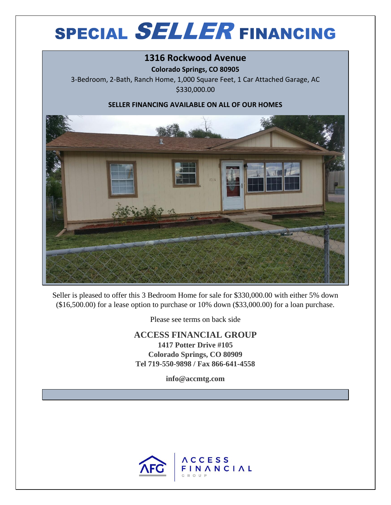## **SPECIAL SELLER FINANCING**

## **1316 Rockwood Avenue**

**Colorado Springs, CO 80905**

3-Bedroom, 2-Bath, Ranch Home, 1,000 Square Feet, 1 Car Attached Garage, AC \$330,000.00

## **SELLER FINANCING AVAILABLE ON ALL OF OUR HOMES**



Seller is pleased to offer this 3 Bedroom Home for sale for \$330,000.00 with either 5% down (\$16,500.00) for a lease option to purchase or 10% down (\$33,000.00) for a loan purchase.

Please see terms on back side

**ACCESS FINANCIAL GROUP 1417 Potter Drive #105 Colorado Springs, CO 80909 Tel 719-550-9898 / Fax 866-641-4558**

**info@accmtg.com**